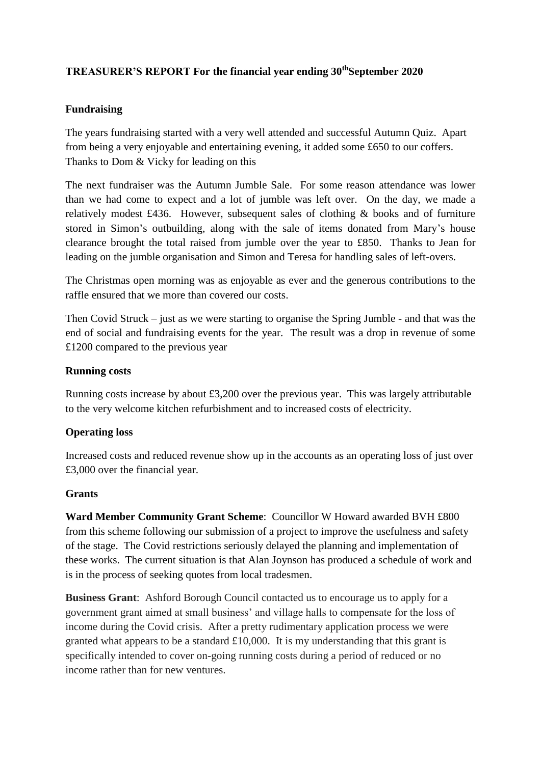# **TREASURER'S REPORT For the financial year ending 30thSeptember 2020**

## **Fundraising**

The years fundraising started with a very well attended and successful Autumn Quiz. Apart from being a very enjoyable and entertaining evening, it added some £650 to our coffers. Thanks to Dom & Vicky for leading on this

The next fundraiser was the Autumn Jumble Sale. For some reason attendance was lower than we had come to expect and a lot of jumble was left over. On the day, we made a relatively modest £436. However, subsequent sales of clothing & books and of furniture stored in Simon's outbuilding, along with the sale of items donated from Mary's house clearance brought the total raised from jumble over the year to £850. Thanks to Jean for leading on the jumble organisation and Simon and Teresa for handling sales of left-overs.

The Christmas open morning was as enjoyable as ever and the generous contributions to the raffle ensured that we more than covered our costs.

Then Covid Struck – just as we were starting to organise the Spring Jumble - and that was the end of social and fundraising events for the year. The result was a drop in revenue of some £1200 compared to the previous year

### **Running costs**

Running costs increase by about £3,200 over the previous year. This was largely attributable to the very welcome kitchen refurbishment and to increased costs of electricity.

#### **Operating loss**

Increased costs and reduced revenue show up in the accounts as an operating loss of just over £3,000 over the financial year.

#### **Grants**

**Ward Member Community Grant Scheme**: Councillor W Howard awarded BVH £800 from this scheme following our submission of a project to improve the usefulness and safety of the stage. The Covid restrictions seriously delayed the planning and implementation of these works. The current situation is that Alan Joynson has produced a schedule of work and is in the process of seeking quotes from local tradesmen.

**Business Grant**: Ashford Borough Council contacted us to encourage us to apply for a government grant aimed at small business' and village halls to compensate for the loss of income during the Covid crisis. After a pretty rudimentary application process we were granted what appears to be a standard £10,000. It is my understanding that this grant is specifically intended to cover on-going running costs during a period of reduced or no income rather than for new ventures.